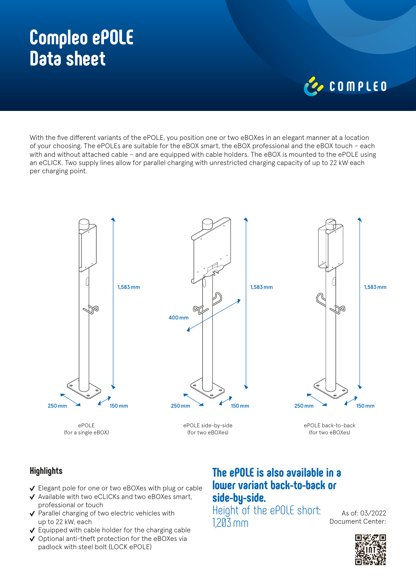# **Compleo ePOLE Data sheet**

# COMPLED

With the five different variants of the ePOLE, you position one or two eBOXes in an elegant manner at a location of your choosing. The ePOLEs are suitable for the eBOX smart, the eBOX professional and the eBOX touch – each with and without attached cable – and are equipped with cable holders. The eBOX is mounted to the ePOLE using an eCLICK. Two supply lines allow for parallel charging with unrestricted charging capacity of up to 22 kW each per charging point.



### **Highlights**

- Elegant pole for one or two eBOXes with plug or cable
- ◆ Available with two eCLICKs and two eBOXes smart, professional or touch
- $\checkmark$  Parallel charging of two electric vehicles with up to 22 kW, each
- $\vee$  Equipped with cable holder for the charging cable
- $\vee$  Optional anti-theft protection for the eBOXes via padlock with steel bolt (LOCK ePOLE)

## **The ePOLE is also available in a lower variant back-to-back or side-by-side.**

Height of the ePOLE short: 1,203mm

As of: 03/2022 Document Center: